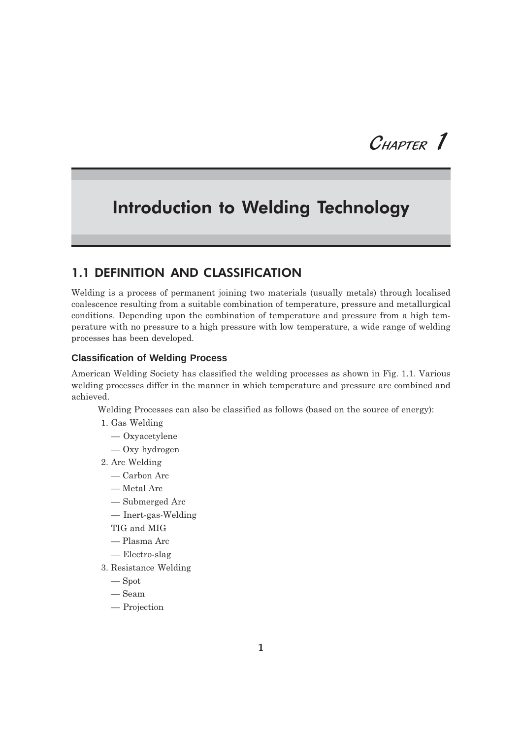# $C$ HAPTER  $1$

## **Introduction to Welding Technology**

## **1.1 DEFINITION AND CLASSIFICATION**

Welding is a process of permanent joining two materials (usually metals) through localised coalescence resulting from a suitable combination of temperature, pressure and metallurgical conditions. Depending upon the combination of temperature and pressure from a high temperature with no pressure to a high pressure with low temperature, a wide range of welding processes has been developed.

#### **Classification of Welding Process**

American Welding Society has classified the welding processes as shown in Fig. 1.1. Various welding processes differ in the manner in which temperature and pressure are combined and achieved.

Welding Processes can also be classified as follows (based on the source of energy):

- 1. Gas Welding
	- $-$  Oxyacetylene
	- $-$  Oxy hydrogen
- 2. Arc Welding
	- $-\mathop{\mathrm{Carbon\; Arc}}$
	- Metal Arc
	- Submerged Arc
	- $-$  Inert-gas-Welding
	- TIG and MIG
	- Plasma Arc
	- $-$  Electro-slag
- 3. Resistance Welding
	- $-$ Spot
	- $-$  Seam
	- $-$  Projection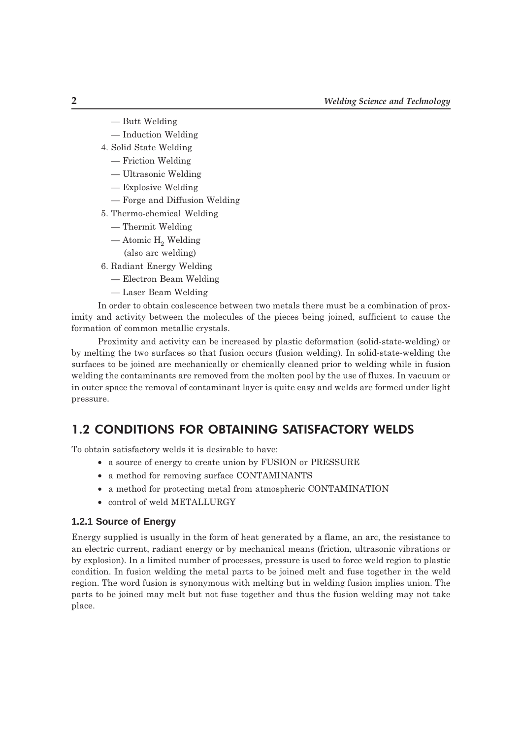- Butt Welding
- Induction Welding
- 4. Solid State Welding
	- $-$  Friction Welding
	- Ultrasonic Welding
	- Explosive Welding
	- Forge and Diffusion Welding
- 5. Thermo-chemical Welding
	- Thermit Welding
	- Atomic  $H_2$  Welding
		- (also arc welding)
- 6. Radiant Energy Welding
	- Electron Beam Welding
	- Laser Beam Welding

In order to obtain coalescence between two metals there must be a combination of proximity and activity between the molecules of the pieces being joined, sufficient to cause the formation of common metallic crystals.

Proximity and activity can be increased by plastic deformation (solid-state-welding) or by melting the two surfaces so that fusion occurs (fusion welding). In solid-state-welding the surfaces to be joined are mechanically or chemically cleaned prior to welding while in fusion welding the contaminants are removed from the molten pool by the use of fluxes. In vacuum or in outer space the removal of contaminant layer is quite easy and welds are formed under light pressure.

## **1.2 CONDITIONS FOR OBTAINING SATISFACTORY WELDS**

To obtain satisfactory welds it is desirable to have:

- a source of energy to create union by FUSION or PRESSURE
- a method for removing surface CONTAMINANTS
- a method for protecting metal from atmospheric CONTAMINATION
- control of weld METALLURGY

#### 1.2.1 Source of Energy

Energy supplied is usually in the form of heat generated by a flame, an arc, the resistance to an electric current, radiant energy or by mechanical means (friction, ultrasonic vibrations or by explosion). In a limited number of processes, pressure is used to force weld region to plastic condition. In fusion welding the metal parts to be joined melt and fuse together in the weld region. The word fusion is synonymous with melting but in welding fusion implies union. The parts to be joined may melt but not fuse together and thus the fusion welding may not take place.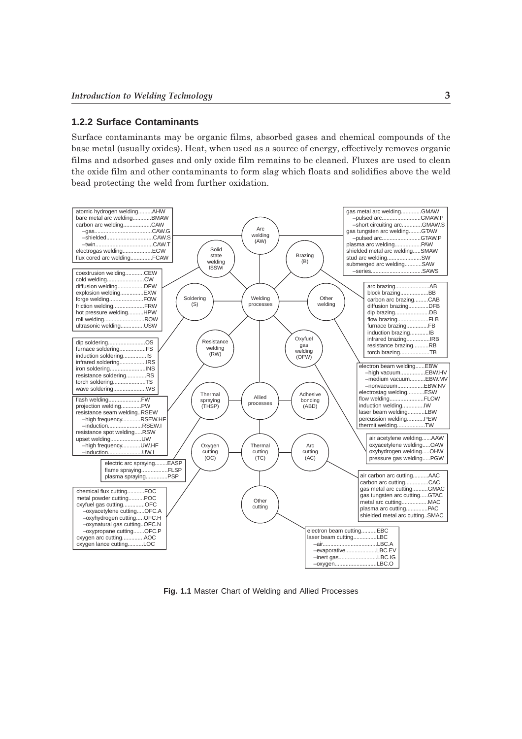#### **1.2.2 Surface Contaminants**

Surface contaminants may be organic films, absorbed gases and chemical compounds of the base metal (usually oxides). Heat, when used as a source of energy, effectively removes organic films and adsorbed gases and only oxide film remains to be cleaned. Fluxes are used to clean the oxide film and other contaminants to form slag which floats and solidifies above the weld bead protecting the weld from further oxidation.



**Fig. 1.1** Master Chart of Welding and Allied Processes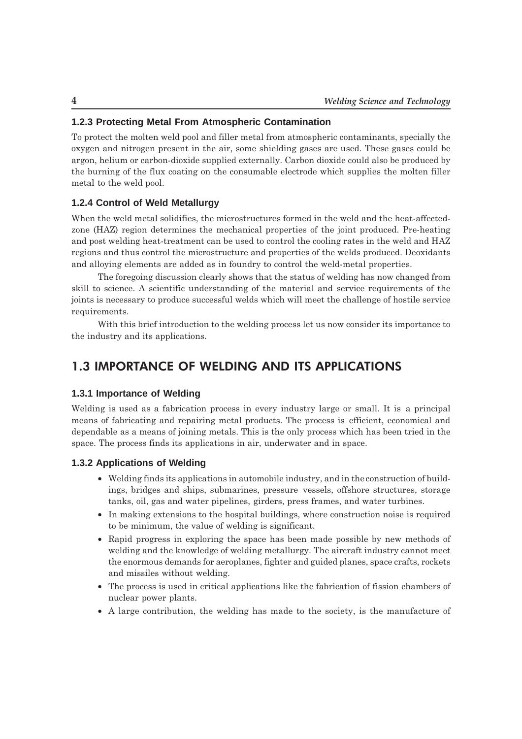#### 1.2.3 Protecting Metal From Atmospheric Contamination

To protect the molten weld pool and filler metal from atmospheric contaminants, specially the oxygen and nitrogen present in the air, some shielding gases are used. These gases could be argon, helium or carbon-dioxide supplied externally. Carbon dioxide could also be produced by the burning of the flux coating on the consumable electrode which supplies the molten filler metal to the weld pool.

#### 1.2.4 Control of Weld Metallurgy

When the weld metal solidifies, the microstructures formed in the weld and the heat-affectedzone (HAZ) region determines the mechanical properties of the joint produced. Pre-heating and post welding heat-treatment can be used to control the cooling rates in the weld and HAZ regions and thus control the microstructure and properties of the welds produced. Deoxidants and alloying elements are added as in foundry to control the weld-metal properties.

The foregoing discussion clearly shows that the status of welding has now changed from skill to science. A scientific understanding of the material and service requirements of the joints is necessary to produce successful welds which will meet the challenge of hostile service requirements.

With this brief introduction to the welding process let us now consider its importance to the industry and its applications.

## **1.3 IMPORTANCE OF WELDING AND ITS APPLICATIONS**

#### 1.3.1 Importance of Welding

Welding is used as a fabrication process in every industry large or small. It is a principal means of fabricating and repairing metal products. The process is efficient, economical and dependable as a means of joining metals. This is the only process which has been tried in the space. The process finds its applications in air, underwater and in space.

#### 1.3.2 Applications of Welding

- Welding finds its applications in automobile industry, and in the construction of buildings, bridges and ships, submarines, pressure vessels, offshore structures, storage tanks, oil, gas and water pipelines, girders, press frames, and water turbines.
- In making extensions to the hospital buildings, where construction noise is required to be minimum, the value of welding is significant.
- Rapid progress in exploring the space has been made possible by new methods of welding and the knowledge of welding metallurgy. The aircraft industry cannot meet the enormous demands for aeroplanes, fighter and guided planes, space crafts, rockets and missiles without welding.
- The process is used in critical applications like the fabrication of fission chambers of nuclear power plants.
- A large contribution, the welding has made to the society, is the manufacture of

 $\overline{\mathbf{4}}$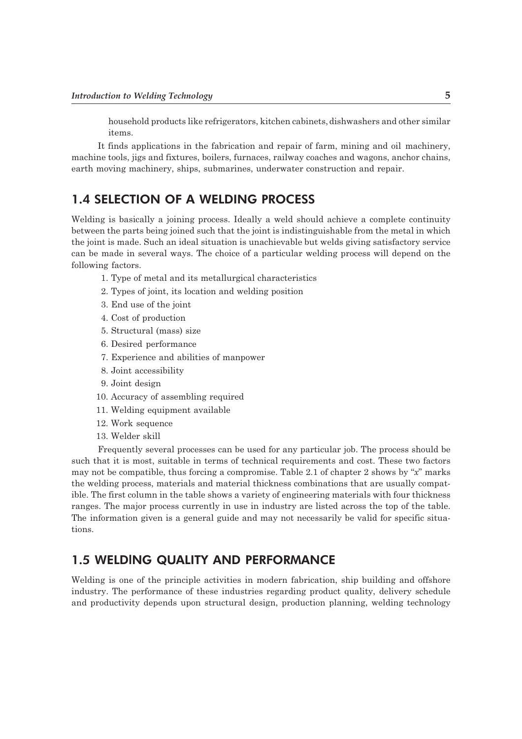household products like refrigerators, kitchen cabinets, dishwashers and other similar items

It finds applications in the fabrication and repair of farm, mining and oil machinery, machine tools, jigs and fixtures, boilers, furnaces, railway coaches and wagons, anchor chains, earth moving machinery, ships, submarines, underwater construction and repair.

## **1.4 SELECTION OF A WELDING PROCESS**

Welding is basically a joining process. Ideally a weld should achieve a complete continuity between the parts being joined such that the joint is indistinguishable from the metal in which the joint is made. Such an ideal situation is unachievable but welds giving satisfactory service can be made in several ways. The choice of a particular welding process will depend on the following factors.

- 1. Type of metal and its metallurgical characteristics
- 2. Types of joint, its location and welding position
- 3. End use of the joint
- 4. Cost of production
- 5. Structural (mass) size
- 6. Desired performance
- 7. Experience and abilities of manpower
- 8. Joint accessibility
- 9. Joint design
- 10. Accuracy of assembling required
- 11. Welding equipment available
- 12. Work sequence
- 13. Welder skill

Frequently several processes can be used for any particular job. The process should be such that it is most, suitable in terms of technical requirements and cost. These two factors may not be compatible, thus forcing a compromise. Table 2.1 of chapter 2 shows by "x" marks the welding process, materials and material thickness combinations that are usually compatible. The first column in the table shows a variety of engineering materials with four thickness ranges. The major process currently in use in industry are listed across the top of the table. The information given is a general guide and may not necessarily be valid for specific situations.

## **1.5 WELDING QUALITY AND PERFORMANCE**

Welding is one of the principle activities in modern fabrication, ship building and offshore industry. The performance of these industries regarding product quality, delivery schedule and productivity depends upon structural design, production planning, welding technology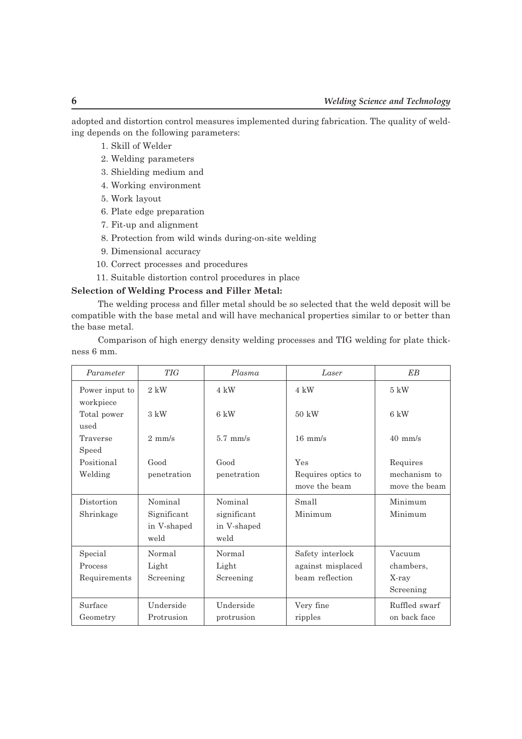adopted and distortion control measures implemented during fabrication. The quality of welding depends on the following parameters:

- 1. Skill of Welder
- 2. Welding parameters
- 3. Shielding medium and
- 4. Working environment
- 5. Work layout
- 6. Plate edge preparation
- 7. Fit-up and alignment
- 8. Protection from wild winds during-on-site welding
- 9. Dimensional accuracy
- 10. Correct processes and procedures
- 11. Suitable distortion control procedures in place

#### **Selection of Welding Process and Filler Metal:**

The welding process and filler metal should be so selected that the weld deposit will be compatible with the base metal and will have mechanical properties similar to or better than the base metal.

Comparison of high energy density welding processes and TIG welding for plate thickness 6 mm.

| Parameter                   | <b>TIG</b>       | Plasma         | Laser              | EB                |
|-----------------------------|------------------|----------------|--------------------|-------------------|
| Power input to<br>workpiece | $2 \;$ k $W$     | 4 kW           | 4 kW               | $5 \text{ kW}$    |
| Total power<br>used         | $3 \text{ kW}$   | $6 \text{ kW}$ | $50 \text{ kW}$    | 6 kW              |
| Traverse<br>Speed           | $2 \text{ mm/s}$ | $5.7$ mm/s     | $16 \text{ mm/s}$  | $40 \text{ mm/s}$ |
| Positional                  | Good             | Good           | Yes                | Requires          |
| Welding                     | penetration      | penetration    | Requires optics to | mechanism to      |
|                             |                  |                | move the beam      | move the beam     |
| Distortion                  | Nominal          | Nominal        | Small              | Minimum           |
| Shrinkage                   | Significant      | significant    | Minimum            | Minimum           |
|                             | in V-shaped      | in V-shaped    |                    |                   |
|                             | weld             | weld           |                    |                   |
| Special                     | Normal           | Normal         | Safety interlock   | Vacuum            |
| Process                     | Light            | Light          | against misplaced  | chambers,         |
| Requirements                | Screening        | Screening      | beam reflection    | X-ray             |
|                             |                  |                |                    | Screening         |
| Surface                     | Underside        | Underside      | Very fine          | Ruffled swarf     |
| Geometry                    | Protrusion       | protrusion     | ripples            | on back face      |